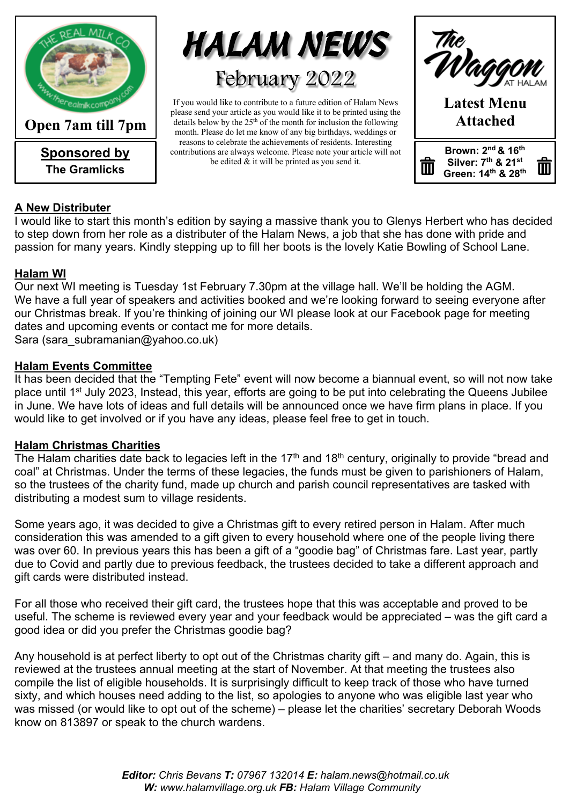

**Sponsored by The Gramlicks**



If you would like to contribute to a future edition of Halam News please send your article as you would like it to be printed using the details below by the 25<sup>th</sup> of the month for inclusion the following month. Please do let me know of any big birthdays, weddings or reasons to celebrate the achievements of residents. Interesting contributions are always welcome. Please note your article will not be edited & it will be printed as you send it.



### **A New Distributer**

I would like to start this month's edition by saying a massive thank you to Glenys Herbert who has decided to step down from her role as a distributer of the Halam News, a job that she has done with pride and passion for many years. Kindly stepping up to fill her boots is the lovely Katie Bowling of School Lane.

### **Halam WI**

Our next WI meeting is Tuesday 1st February 7.30pm at the village hall. We'll be holding the AGM. We have a full year of speakers and activities booked and we're looking forward to seeing everyone after our Christmas break. If you're thinking of joining our WI please look at our Facebook page for meeting dates and upcoming events or contact me for more details.

Sara (sara\_subramanian@yahoo.co.uk)

### **Halam Events Committee**

It has been decided that the "Tempting Fete" event will now become a biannual event, so will not now take place until 1st July 2023, Instead, this year, efforts are going to be put into celebrating the Queens Jubilee in June. We have lots of ideas and full details will be announced once we have firm plans in place. If you would like to get involved or if you have any ideas, please feel free to get in touch.

### **Halam Christmas Charities**

The Halam charities date back to legacies left in the 17<sup>th</sup> and 18<sup>th</sup> century, originally to provide "bread and coal" at Christmas. Under the terms of these legacies, the funds must be given to parishioners of Halam, so the trustees of the charity fund, made up church and parish council representatives are tasked with distributing a modest sum to village residents.

Some years ago, it was decided to give a Christmas gift to every retired person in Halam. After much consideration this was amended to a gift given to every household where one of the people living there was over 60. In previous years this has been a gift of a "goodie bag" of Christmas fare. Last year, partly due to Covid and partly due to previous feedback, the trustees decided to take a different approach and gift cards were distributed instead.

For all those who received their gift card, the trustees hope that this was acceptable and proved to be useful. The scheme is reviewed every year and your feedback would be appreciated – was the gift card a good idea or did you prefer the Christmas goodie bag?

Any household is at perfect liberty to opt out of the Christmas charity gift – and many do. Again, this is reviewed at the trustees annual meeting at the start of November. At that meeting the trustees also compile the list of eligible households. It is surprisingly difficult to keep track of those who have turned sixty, and which houses need adding to the list, so apologies to anyone who was eligible last year who was missed (or would like to opt out of the scheme) – please let the charities' secretary Deborah Woods know on 813897 or speak to the church wardens.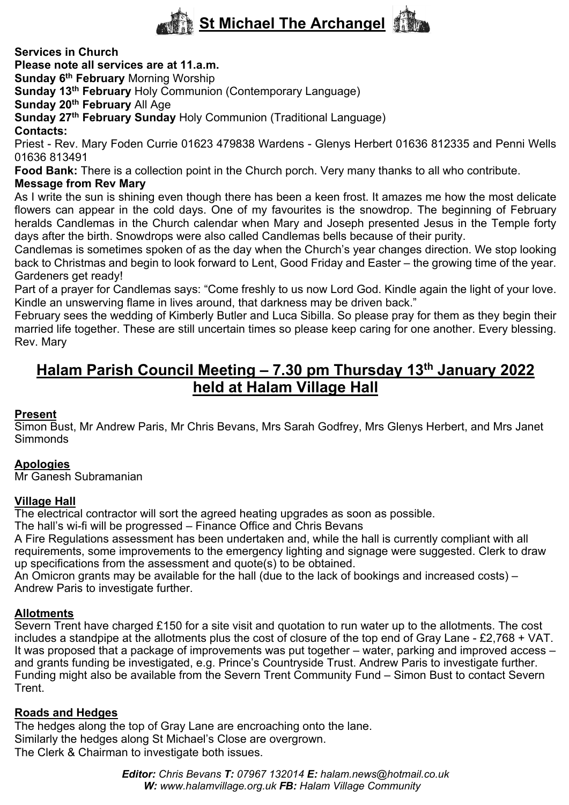

**Services in Church**

**Please note all services are at 11.a.m.** 

**Sunday 6th February** Morning Worship

**Sunday 13th February** Holy Communion (Contemporary Language)

**Sunday 20th February** All Age

**Sunday 27th February Sunday** Holy Communion (Traditional Language)

**Contacts:**

Priest - Rev. Mary Foden Currie 01623 479838 Wardens - Glenys Herbert 01636 812335 and Penni Wells 01636 813491

**Food Bank:** There is a collection point in the Church porch. Very many thanks to all who contribute.

### **Message from Rev Mary**

As I write the sun is shining even though there has been a keen frost. It amazes me how the most delicate flowers can appear in the cold days. One of my favourites is the snowdrop. The beginning of February heralds Candlemas in the Church calendar when Mary and Joseph presented Jesus in the Temple forty days after the birth. Snowdrops were also called Candlemas bells because of their purity.

Candlemas is sometimes spoken of as the day when the Church's year changes direction. We stop looking back to Christmas and begin to look forward to Lent, Good Friday and Easter – the growing time of the year. Gardeners get ready!

Part of a prayer for Candlemas says: "Come freshly to us now Lord God. Kindle again the light of your love. Kindle an unswerving flame in lives around, that darkness may be driven back."

February sees the wedding of Kimberly Butler and Luca Sibilla. So please pray for them as they begin their married life together. These are still uncertain times so please keep caring for one another. Every blessing. Rev. Mary

# **Halam Parish Council Meeting – 7.30 pm Thursday 13th January 2022 held at Halam Village Hall**

### **Present**

Simon Bust, Mr Andrew Paris, Mr Chris Bevans, Mrs Sarah Godfrey, Mrs Glenys Herbert, and Mrs Janet **Simmonds** 

### **Apologies**

Mr Ganesh Subramanian

#### **Village Hall**

The electrical contractor will sort the agreed heating upgrades as soon as possible.

The hall's wi-fi will be progressed – Finance Office and Chris Bevans

A Fire Regulations assessment has been undertaken and, while the hall is currently compliant with all requirements, some improvements to the emergency lighting and signage were suggested. Clerk to draw up specifications from the assessment and quote(s) to be obtained.

An Omicron grants may be available for the hall (due to the lack of bookings and increased costs) – Andrew Paris to investigate further.

### **Allotments**

Severn Trent have charged £150 for a site visit and quotation to run water up to the allotments. The cost includes a standpipe at the allotments plus the cost of closure of the top end of Gray Lane - £2,768 + VAT. It was proposed that a package of improvements was put together – water, parking and improved access – and grants funding be investigated, e.g. Prince's Countryside Trust. Andrew Paris to investigate further. Funding might also be available from the Severn Trent Community Fund – Simon Bust to contact Severn Trent.

#### **Roads and Hedges**

The hedges along the top of Gray Lane are encroaching onto the lane. Similarly the hedges along St Michael's Close are overgrown. The Clerk & Chairman to investigate both issues.

> *Editor: Chris Bevans T: 07967 132014 E: halam.news@hotmail.co.uk W: www.halamvillage.org.uk FB: Halam Village Community*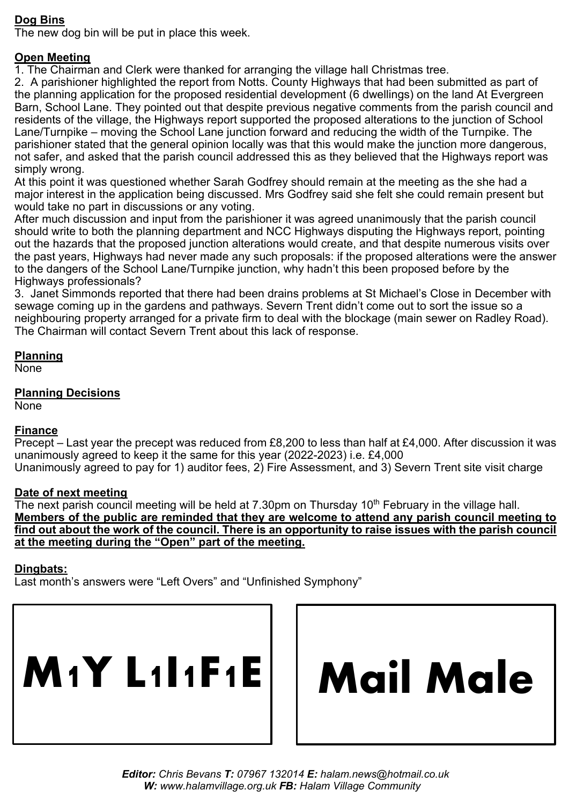### **Dog Bins**

The new dog bin will be put in place this week.

### **Open Meeting**

1. The Chairman and Clerk were thanked for arranging the village hall Christmas tree.

2. A parishioner highlighted the report from Notts. County Highways that had been submitted as part of the planning application for the proposed residential development (6 dwellings) on the land At Evergreen Barn, School Lane. They pointed out that despite previous negative comments from the parish council and residents of the village, the Highways report supported the proposed alterations to the junction of School Lane/Turnpike – moving the School Lane junction forward and reducing the width of the Turnpike. The parishioner stated that the general opinion locally was that this would make the junction more dangerous, not safer, and asked that the parish council addressed this as they believed that the Highways report was simply wrong.

At this point it was questioned whether Sarah Godfrey should remain at the meeting as the she had a major interest in the application being discussed. Mrs Godfrey said she felt she could remain present but would take no part in discussions or any voting.

After much discussion and input from the parishioner it was agreed unanimously that the parish council should write to both the planning department and NCC Highways disputing the Highways report, pointing out the hazards that the proposed junction alterations would create, and that despite numerous visits over the past years, Highways had never made any such proposals: if the proposed alterations were the answer to the dangers of the School Lane/Turnpike junction, why hadn't this been proposed before by the Highways professionals?

3. Janet Simmonds reported that there had been drains problems at St Michael's Close in December with sewage coming up in the gardens and pathways. Severn Trent didn't come out to sort the issue so a neighbouring property arranged for a private firm to deal with the blockage (main sewer on Radley Road). The Chairman will contact Severn Trent about this lack of response.

### **Planning**

None

## **Planning Decisions**

None

### **Finance**

Precept – Last year the precept was reduced from £8,200 to less than half at £4,000. After discussion it was unanimously agreed to keep it the same for this year (2022-2023) i.e. £4,000 Unanimously agreed to pay for 1) auditor fees, 2) Fire Assessment, and 3) Severn Trent site visit charge

### **Date of next meeting**

The next parish council meeting will be held at 7.30pm on Thursday 10<sup>th</sup> February in the village hall. **Members of the public are reminded that they are welcome to attend any parish council meeting to find out about the work of the council. There is an opportunity to raise issues with the parish council at the meeting during the "Open" part of the meeting.**

### **Dingbats:**

Last month's answers were "Left Overs" and "Unfinished Symphony"



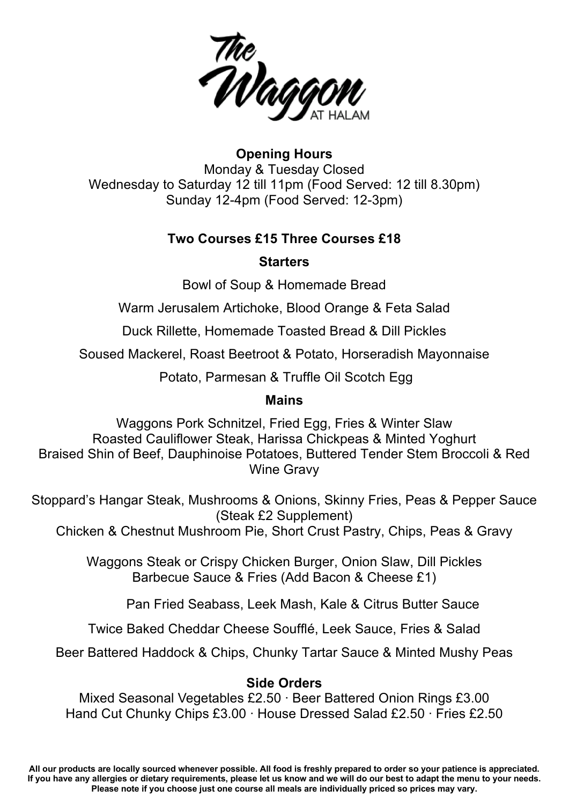

## **Opening Hours** Monday & Tuesday Closed Wednesday to Saturday 12 till 11pm (Food Served: 12 till 8.30pm) Sunday 12-4pm (Food Served: 12-3pm)

### **Two Courses £15 Three Courses £18**

### **Starters**

Bowl of Soup & Homemade Bread

Warm Jerusalem Artichoke, Blood Orange & Feta Salad

Duck Rillette, Homemade Toasted Bread & Dill Pickles

Soused Mackerel, Roast Beetroot & Potato, Horseradish Mayonnaise

Potato, Parmesan & Truffle Oil Scotch Egg

### **Mains**

Waggons Pork Schnitzel, Fried Egg, Fries & Winter Slaw Roasted Cauliflower Steak, Harissa Chickpeas & Minted Yoghurt Braised Shin of Beef, Dauphinoise Potatoes, Buttered Tender Stem Broccoli & Red Wine Gravy

Stoppard's Hangar Steak, Mushrooms & Onions, Skinny Fries, Peas & Pepper Sauce (Steak £2 Supplement)

Chicken & Chestnut Mushroom Pie, Short Crust Pastry, Chips, Peas & Gravy

Waggons Steak or Crispy Chicken Burger, Onion Slaw, Dill Pickles Barbecue Sauce & Fries (Add Bacon & Cheese £1)

Pan Fried Seabass, Leek Mash, Kale & Citrus Butter Sauce

Twice Baked Cheddar Cheese Soufflé, Leek Sauce, Fries & Salad

Beer Battered Haddock & Chips, Chunky Tartar Sauce & Minted Mushy Peas

### **Side Orders**

Mixed Seasonal Vegetables £2.50 ∙ Beer Battered Onion Rings £3.00 Hand Cut Chunky Chips £3.00 ∙ House Dressed Salad £2.50 ∙ Fries £2.50